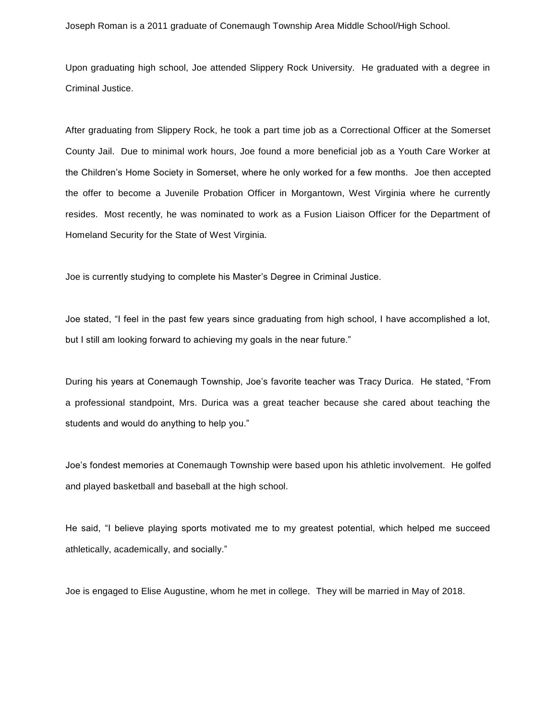Joseph Roman is a 2011 graduate of Conemaugh Township Area Middle School/High School.

Upon graduating high school, Joe attended Slippery Rock University. He graduated with a degree in Criminal Justice.

After graduating from Slippery Rock, he took a part time job as a Correctional Officer at the Somerset County Jail. Due to minimal work hours, Joe found a more beneficial job as a Youth Care Worker at the Children's Home Society in Somerset, where he only worked for a few months. Joe then accepted the offer to become a Juvenile Probation Officer in Morgantown, West Virginia where he currently resides. Most recently, he was nominated to work as a Fusion Liaison Officer for the Department of Homeland Security for the State of West Virginia.

Joe is currently studying to complete his Master's Degree in Criminal Justice.

Joe stated, "I feel in the past few years since graduating from high school, I have accomplished a lot, but I still am looking forward to achieving my goals in the near future."

During his years at Conemaugh Township, Joe's favorite teacher was Tracy Durica. He stated, "From a professional standpoint, Mrs. Durica was a great teacher because she cared about teaching the students and would do anything to help you."

Joe's fondest memories at Conemaugh Township were based upon his athletic involvement. He golfed and played basketball and baseball at the high school.

He said, "I believe playing sports motivated me to my greatest potential, which helped me succeed athletically, academically, and socially."

Joe is engaged to Elise Augustine, whom he met in college. They will be married in May of 2018.